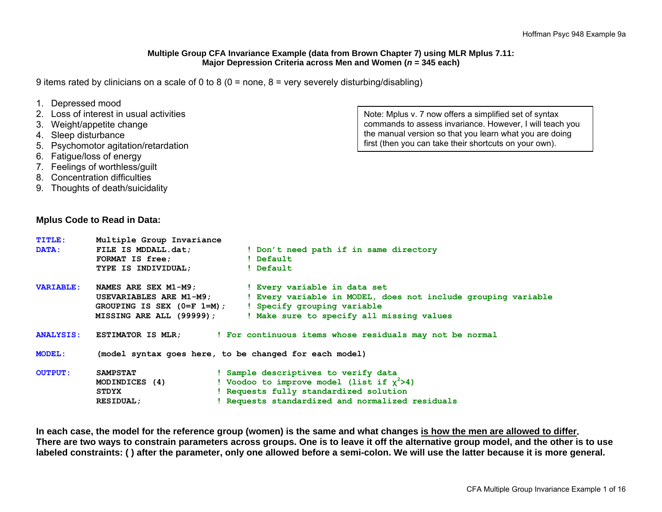#### **Multiple Group CFA Invariance Example (data from Brown Chapter 7) using MLR Mplus 7.11: Major Depression Criteria across Men and Women (***<sup>n</sup>* **= 345 each)**

9 items rated by clinicians on a scale of 0 to 8 (0 = none, 8 = very severely disturbing/disabling)

| 1. Depressed mood                       |
|-----------------------------------------|
| 2. Loss of interest in usual activities |

- 
- 3. Weight/appetite change
- 4. Sleep disturbance
- 5. Psychomotor agitation/retardation
- 6. Fatigue/loss of energy
- 7. Feelings of worthless/guilt
- 8. Concentration difficulties
- 9. Thoughts of death/suicidality

#### **Mplus Code to Read in Data:**

Note: Mplus v. 7 now offers a simplified set of syntax commands to assess invariance. However, I will teach you the manual version so that you learn what you are doing first (then you can take their shortcuts on your own).

| <b>TITLE:</b><br>DATA: | Multiple Group Invariance<br>FILE IS MDDALL.dat;<br><b>FORMAT IS free;</b><br>TYPE IS INDIVIDUAL;            | ! Don't need path if in same directory<br>! Default<br>! Default                                                                                                                   |
|------------------------|--------------------------------------------------------------------------------------------------------------|------------------------------------------------------------------------------------------------------------------------------------------------------------------------------------|
| <b>VARIABLE:</b>       | NAMES ARE SEX M1-M9;<br>USEVARIABLES ARE M1-M9;<br>GROUPING IS SEX $(0=F 1=M)$ ;<br>MISSING ARE ALL (99999); | ! Every variable in data set<br>! Every variable in MODEL, does not include grouping variable<br>! Specify grouping variable<br>! Make sure to specify all missing values          |
| <b>ANALYSIS:</b>       |                                                                                                              | ESTIMATOR IS MLR; For continuous items whose residuals may not be normal                                                                                                           |
| <b>MODEL:</b>          |                                                                                                              | (model syntax goes here, to be changed for each model)                                                                                                                             |
| <b>OUTPUT:</b>         | <b>SAMPSTAT</b><br>MODINDICES (4)<br>STDYX<br><b>RESIDUAL;</b>                                               | ! Sample descriptives to verify data<br>! Voodoo to improve model (list if $x^2>4$ )<br>! Requests fully standardized solution<br>! Requests standardized and normalized residuals |

**In each case, the model for the reference group (women) is the same and what changes is how the men are allowed to differ. There are two ways to constrain parameters across groups. One is to leave it off the alternative group model, and the other is to use labeled constraints: ( ) after the parameter, only one allowed before a semi-colon. We will use the latter because it is more general.**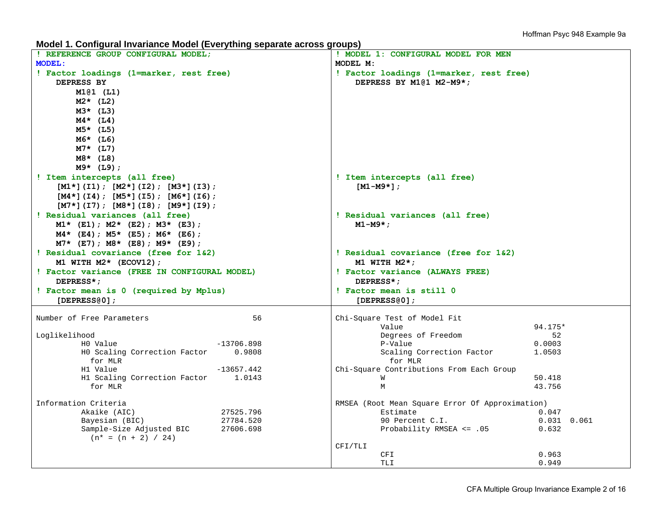**Model 1. Configural Invariance Model (Everything separate across groups)** 

| ! REFERENCE GROUP CONFIGURAL MODEL;                | ! MODEL 1: CONFIGURAL MODEL FOR MEN                         |
|----------------------------------------------------|-------------------------------------------------------------|
| <b>MODEL:</b>                                      | MODEL M:                                                    |
| ! Factor loadings (1=marker, rest free)            | ! Factor loadings (1=marker, rest free)                     |
| DEPRESS BY                                         | DEPRESS BY M1@1 M2-M9*;                                     |
| $M1@1$ (L1)                                        |                                                             |
| $M2*$ (L2)                                         |                                                             |
| $M3*$ (L3)                                         |                                                             |
|                                                    |                                                             |
| $M4*$ (L4)                                         |                                                             |
| $M5*$ (L5)                                         |                                                             |
| $M6*$ (L6)                                         |                                                             |
| $M7*$ (L7)                                         |                                                             |
| $M8*$ (L8)                                         |                                                             |
| $M9*$ (L9);                                        |                                                             |
| ! Item intercepts (all free)                       | ! Item intercepts (all free)                                |
| $[M1*](I1); [M2*](I2); [M3*](I3);$                 | $[M1-M9*]$                                                  |
| $[M4*](I4)$ ; $[M5*](I5)$ ; $[M6*](I6)$ ;          |                                                             |
| $[M7*](I7)$ ; $[M8*](I8)$ ; $[M9*](I9)$ ;          |                                                             |
| ! Residual variances (all free)                    | ! Residual variances (all free)                             |
| $M1*$ (E1); $M2*$ (E2); $M3*$ (E3);                | $M1-M9*$ ;                                                  |
| $M4*$ (E4); $M5*$ (E5); $M6*$ (E6);                |                                                             |
|                                                    |                                                             |
| $M7*$ (E7); M8* (E8); M9* (E9);                    |                                                             |
| ! Residual covariance (free for 1&2)               | ! Residual covariance (free for 1&2)                        |
| M1 WITH $M2*$ (ECOV12);                            | M1 WITH $M2*$ ;                                             |
| ! Factor variance (FREE IN CONFIGURAL MODEL)       | ! Factor variance (ALWAYS FREE)                             |
| DEPRESS*;                                          | DEPRESS*;                                                   |
| ! Factor mean is 0 (required by Mplus)             | ! Factor mean is still 0                                    |
| $[DEPRESS@0]$ ;                                    | [DEPRESS@0];                                                |
|                                                    |                                                             |
| Number of Free Parameters<br>56                    | Chi-Square Test of Model Fit                                |
|                                                    | 94.175*<br>Value                                            |
| Loglikelihood                                      | Degrees of Freedom<br>52                                    |
| HO Value<br>-13706.898                             | P-Value<br>0.0003                                           |
| HO Scaling Correction Factor<br>0.9808             | Scaling Correction Factor<br>1.0503                         |
| for MLR                                            | for MLR                                                     |
| $-13657.442$<br>H1 Value                           | Chi-Square Contributions From Each Group                    |
| H1 Scaling Correction Factor 1.0143                | 50.418<br>W                                                 |
| for MLR                                            | 43.756<br>M                                                 |
|                                                    |                                                             |
| Information Criteria<br>Akaike (AIC)               | RMSEA (Root Mean Square Error Of Approximation)<br>Estimate |
| 27525.796                                          | 0.047                                                       |
| Bayesian (BIC)<br>27784.520<br>27606.698           | 90 Percent C.I.<br>$0.031$ $0.061$                          |
| Sample-Size Adjusted BIC<br>$(n^* = (n + 2) / 24)$ | Probability RMSEA <= .05<br>0.632                           |
|                                                    | CFI/TLI                                                     |
|                                                    | 0.963<br>CFI                                                |
|                                                    | <b>TLI</b><br>0.949                                         |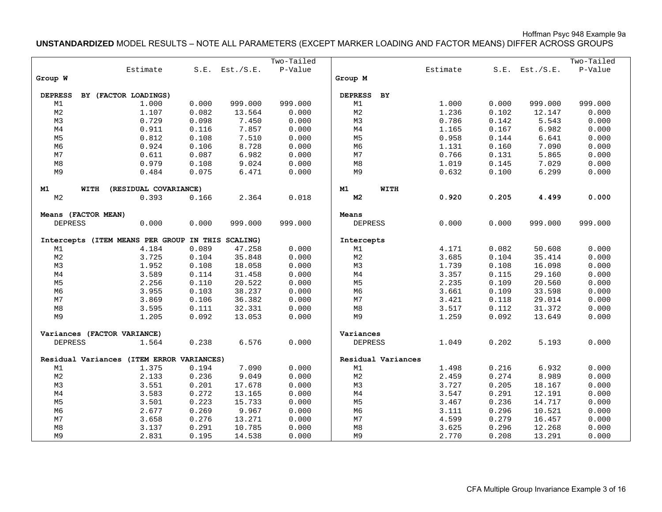Hoffman Psyc 948 Example 9a

**UNSTANDARDIZED** MODEL RESULTS – NOTE ALL PARAMETERS (EXCEPT MARKER LOADING AND FACTOR MEANS) DIFFER ACROSS GROUPS

|                     |      |                                                   |       |                     | Two-Tailed |                |                    |          |       |                     | Two-Tailed |
|---------------------|------|---------------------------------------------------|-------|---------------------|------------|----------------|--------------------|----------|-------|---------------------|------------|
|                     |      | Estimate                                          |       | $S.E.$ Est./ $S.E.$ | P-Value    |                |                    | Estimate |       | $S.E.$ Est./ $S.E.$ | P-Value    |
| Group W             |      |                                                   |       |                     |            | Group M        |                    |          |       |                     |            |
|                     |      |                                                   |       |                     |            |                |                    |          |       |                     |            |
| <b>DEPRESS</b>      |      | BY (FACTOR LOADINGS)                              |       |                     |            | <b>DEPRESS</b> | BY                 |          |       |                     |            |
| M1                  |      | 1.000                                             | 0.000 | 999.000             | 999.000    | M1             |                    | 1.000    | 0.000 | 999.000             | 999.000    |
| M <sub>2</sub>      |      | 1.107                                             | 0.082 | 13.564              | 0.000      | M <sub>2</sub> |                    | 1.236    | 0.102 | 12.147              | 0.000      |
| M3                  |      | 0.729                                             | 0.098 | 7.450               | 0.000      | M3             |                    | 0.786    | 0.142 | 5.543               | 0.000      |
| M <sub>4</sub>      |      | 0.911                                             | 0.116 | 7.857               | 0.000      | M <sub>4</sub> |                    | 1.165    | 0.167 | 6.982               | 0.000      |
| M <sub>5</sub>      |      | 0.812                                             | 0.108 | 7.510               | 0.000      | M5             |                    | 0.958    | 0.144 | 6.641               | 0.000      |
| M6                  |      | 0.924                                             | 0.106 | 8.728               | 0.000      | M6             |                    | 1.131    | 0.160 | 7.090               | 0.000      |
| M7                  |      | 0.611                                             | 0.087 | 6.982               | 0.000      | M7             |                    | 0.766    | 0.131 | 5.865               | 0.000      |
| M8                  |      | 0.979                                             | 0.108 | 9.024               | 0.000      | M8             |                    | 1.019    | 0.145 | 7.029               | 0.000      |
| M9                  |      | 0.484                                             | 0.075 | 6.471               | 0.000      | M9             |                    | 0.632    | 0.100 | 6.299               | 0.000      |
| M1                  | WITH | (RESIDUAL COVARIANCE)                             |       |                     |            | M1             | WITH               |          |       |                     |            |
| M <sub>2</sub>      |      | 0.393                                             | 0.166 | 2.364               | 0.018      | M <sub>2</sub> |                    | 0.920    | 0.205 | 4.499               | 0.000      |
| Means (FACTOR MEAN) |      |                                                   |       |                     |            | Means          |                    |          |       |                     |            |
| <b>DEPRESS</b>      |      | 0.000                                             | 0.000 | 999.000             | 999.000    | <b>DEPRESS</b> |                    | 0.000    | 0.000 | 999.000             | 999.000    |
|                     |      |                                                   |       |                     |            |                |                    |          |       |                     |            |
|                     |      | Intercepts (ITEM MEANS PER GROUP IN THIS SCALING) |       |                     |            | Intercepts     |                    |          |       |                     |            |
| M1                  |      | 4.184                                             | 0.089 | 47.258              | 0.000      | M1             |                    | 4.171    | 0.082 | 50.608              | 0.000      |
| M <sub>2</sub>      |      | 3.725                                             | 0.104 | 35.848              | 0.000      | M <sub>2</sub> |                    | 3.685    | 0.104 | 35.414              | 0.000      |
| M3                  |      | 1.952                                             | 0.108 | 18.058              | 0.000      | M3             |                    | 1.739    | 0.108 | 16.098              | 0.000      |
| $\mathbb{M}4$       |      | 3.589                                             | 0.114 | 31.458              | 0.000      | M4             |                    | 3.357    | 0.115 | 29.160              | 0.000      |
| M5                  |      | 2.256                                             | 0.110 | 20.522              | 0.000      | M5             |                    | 2.235    | 0.109 | 20.560              | 0.000      |
| M6                  |      | 3.955                                             | 0.103 | 38.237              | 0.000      | M6             |                    | 3.661    | 0.109 | 33.598              | 0.000      |
| M <sub>7</sub>      |      | 3.869                                             | 0.106 | 36.382              | 0.000      | M <sub>7</sub> |                    | 3.421    | 0.118 | 29.014              | 0.000      |
| M8                  |      | 3.595                                             | 0.111 | 32.331              | 0.000      | M8             |                    | 3.517    | 0.112 | 31.372              | 0.000      |
| M9                  |      | 1.205                                             | 0.092 | 13.053              | 0.000      | M9             |                    | 1.259    | 0.092 | 13.649              | 0.000      |
|                     |      | Variances (FACTOR VARIANCE)                       |       |                     |            | Variances      |                    |          |       |                     |            |
| <b>DEPRESS</b>      |      | 1.564                                             | 0.238 | 6.576               | 0.000      | <b>DEPRESS</b> |                    | 1.049    | 0.202 | 5.193               | 0.000      |
|                     |      | Residual Variances (ITEM ERROR VARIANCES)         |       |                     |            |                | Residual Variances |          |       |                     |            |
| M1                  |      | 1.375                                             | 0.194 | 7.090               | 0.000      | M1             |                    | 1.498    | 0.216 | 6.932               | 0.000      |
| M <sub>2</sub>      |      | 2.133                                             | 0.236 | 9.049               | 0.000      | M <sub>2</sub> |                    | 2.459    | 0.274 | 8.989               | 0.000      |
| M3                  |      | 3.551                                             | 0.201 | 17.678              | 0.000      | M3             |                    | 3.727    | 0.205 | 18.167              | 0.000      |
| M <sub>4</sub>      |      | 3.583                                             | 0.272 | 13.165              | 0.000      | M4             |                    | 3.547    | 0.291 | 12.191              | 0.000      |
| M <sub>5</sub>      |      | 3.501                                             | 0.223 | 15.733              | 0.000      | M5             |                    | 3.467    | 0.236 | 14.717              | 0.000      |
| M6                  |      | 2.677                                             | 0.269 | 9.967               | 0.000      | M6             |                    | 3.111    | 0.296 | 10.521              | 0.000      |
| M <sub>7</sub>      |      | 3.658                                             | 0.276 | 13.271              | 0.000      | M <sub>7</sub> |                    | 4.599    | 0.279 | 16.457              | 0.000      |
| M8                  |      | 3.137                                             | 0.291 | 10.785              | 0.000      | M8             |                    | 3.625    | 0.296 | 12.268              | 0.000      |
| M9                  |      | 2.831                                             | 0.195 | 14.538              | 0.000      | M9             |                    | 2.770    | 0.208 | 13.291              | 0.000      |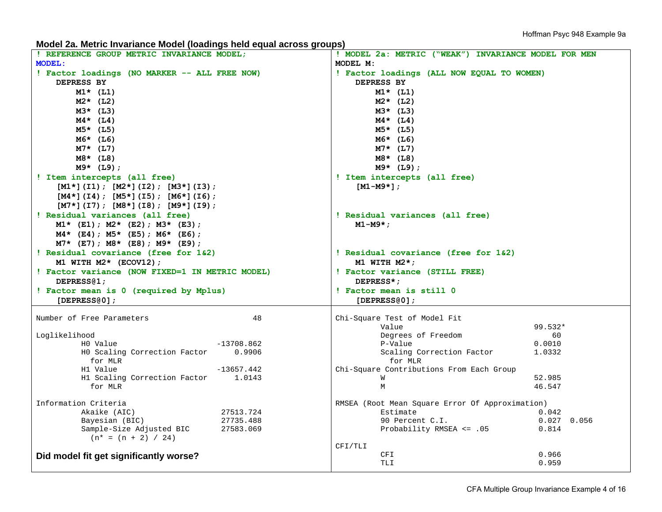**Model 2a. Metric Invariance Model (loadings held equal across groups)** 

| REFERENCE GROUP METRIC INVARIANCE MODEL;        | ! MODEL 2a: METRIC ("WEAK") INVARIANCE MODEL FOR MEN                 |
|-------------------------------------------------|----------------------------------------------------------------------|
| <b>MODEL:</b>                                   | MODEL M:                                                             |
| ! Factor loadings (NO MARKER -- ALL FREE NOW)   | ! Factor loadings (ALL NOW EQUAL TO WOMEN)                           |
| DEPRESS BY                                      | DEPRESS BY                                                           |
| $M1*$ (L1)                                      | $M1*$ (L1)                                                           |
| $M2*$ (L2)                                      | $M2*$ (L2)                                                           |
| $M3*$ (L3)                                      | $M3*$ (L3)                                                           |
| $M4*$ (L4)                                      | $M4*$ (L4)                                                           |
| $M5*$ (L5)                                      | $M5*$ (L5)                                                           |
| $M6*$ (L6)                                      | M6* (L6)                                                             |
| $M7*$ (L7)                                      | $M7*$ (L7)                                                           |
| $M8*$ (L8)                                      | $M8*$ (L8)                                                           |
| $M9*$ (L9);                                     | $M9*$ (L9);                                                          |
| ! Item intercepts (all free)                    | ! Item intercepts (all free)                                         |
| $[M1*](I1); [M2*](I2); [M3*](I3);$              | $[M1-M9*]$                                                           |
| $[M4*](I4)$ ; $[M5*](I5)$ ; $[M6*](I6)$ ;       |                                                                      |
| $[M7*](I7); [M8*](I8); [M9*](I9);$              |                                                                      |
| ! Residual variances (all free)                 | ! Residual variances (all free)                                      |
| $M1*$ (E1); $M2*$ (E2); $M3*$ (E3);             | $M1-M9*$ ;                                                           |
| $M4*$ (E4); $M5*$ (E5); $M6*$ (E6);             |                                                                      |
| $M7*$ (E7); M8* (E8); M9* (E9);                 |                                                                      |
| ! Residual covariance (free for 1&2)            | ! Residual covariance (free for 1&2)                                 |
| M1 WITH $M2*$ (ECOV12);                         | M1 WITH $M2*$ ;                                                      |
|                                                 |                                                                      |
|                                                 |                                                                      |
| ! Factor variance (NOW FIXED=1 IN METRIC MODEL) | ! Factor variance (STILL FREE)                                       |
| DEPRESS <sub>(2)</sub>                          | DEPRESS*;                                                            |
| ! Factor mean is 0 (required by Mplus)          | ! Factor mean is still 0                                             |
| [DEPRESS@0];                                    | [DEPRESS@0];                                                         |
| Number of Free Parameters<br>48                 | Chi-Square Test of Model Fit                                         |
|                                                 | 99.532*<br>Value                                                     |
| Loglikelihood                                   | Degrees of Freedom<br>60                                             |
| HO Value<br>$-13708.862$                        | P-Value<br>0.0010                                                    |
| HO Scaling Correction Factor<br>0.9906          | Scaling Correction Factor<br>1.0332                                  |
| for MLR                                         | for MLR                                                              |
| $-13657.442$<br>H1 Value                        | Chi-Square Contributions From Each Group                             |
| H1 Scaling Correction Factor<br>1.0143          | 52.985<br>W                                                          |
| for MLR                                         | M<br>46.547                                                          |
| Information Criteria                            |                                                                      |
| Akaike (AIC)<br>27513.724                       | RMSEA (Root Mean Square Error Of Approximation)<br>Estimate<br>0.042 |
| Bayesian (BIC)<br>27735.488                     | 90 Percent C.I.<br>$0.027$ 0.056                                     |
| Sample-Size Adjusted BIC<br>27583.069           | Probability RMSEA <= .05<br>0.814                                    |
| $(n* = (n + 2) / 24)$                           |                                                                      |
|                                                 | CFI/TLI                                                              |
| Did model fit get significantly worse?          | 0.966<br>CFI<br>TLI<br>0.959                                         |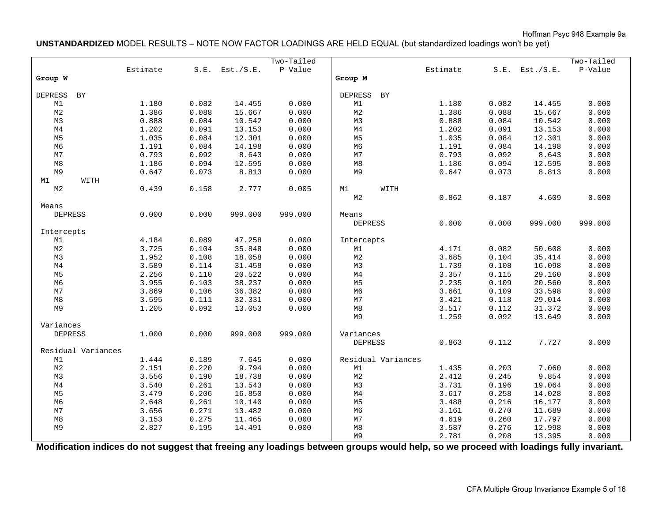Hoffman Psyc 948 Example 9a

**UNSTANDARDIZED** MODEL RESULTS – NOTE NOW FACTOR LOADINGS ARE HELD EQUAL (but standardized loadings won't be yet)

|                    |          |       |                     | Two-Tailed |                |                    |          |       |                     | Two-Tailed |
|--------------------|----------|-------|---------------------|------------|----------------|--------------------|----------|-------|---------------------|------------|
|                    | Estimate |       | $S.E.$ Est./ $S.E.$ | P-Value    |                |                    | Estimate |       | $S.E.$ Est./ $S.E.$ | P-Value    |
| Group W            |          |       |                     |            | Group M        |                    |          |       |                     |            |
|                    |          |       |                     |            |                |                    |          |       |                     |            |
| DEPRESS<br>BY      |          |       |                     |            | <b>DEPRESS</b> | BY                 |          |       |                     |            |
| M1                 | 1.180    | 0.082 | 14.455              | 0.000      | M1             |                    | 1.180    | 0.082 | 14.455              | 0.000      |
| M <sub>2</sub>     | 1.386    | 0.088 | 15.667              | 0.000      | M <sub>2</sub> |                    | 1.386    | 0.088 | 15.667              | 0.000      |
| M3                 | 0.888    | 0.084 | 10.542              | 0.000      | M3             |                    | 0.888    | 0.084 | 10.542              | 0.000      |
| M <sub>4</sub>     | 1.202    | 0.091 | 13.153              | 0.000      | M <sub>4</sub> |                    | 1.202    | 0.091 | 13.153              | 0.000      |
| M <sub>5</sub>     | 1.035    | 0.084 | 12.301              | 0.000      | M <sub>5</sub> |                    | 1.035    | 0.084 | 12.301              | 0.000      |
| M6                 | 1.191    | 0.084 | 14.198              | 0.000      | M6             |                    | 1.191    | 0.084 | 14.198              | 0.000      |
| M7                 | 0.793    | 0.092 | 8.643               | 0.000      | M7             |                    | 0.793    | 0.092 | 8.643               | 0.000      |
| $_{\rm M8}$        | 1.186    | 0.094 | 12.595              | 0.000      | $\rm M8$       |                    | 1.186    | 0.094 | 12.595              | 0.000      |
| M9                 | 0.647    | 0.073 | 8.813               | 0.000      | M9             |                    | 0.647    | 0.073 | 8.813               | 0.000      |
| M1<br>WITH         |          |       |                     |            |                |                    |          |       |                     |            |
| M <sub>2</sub>     | 0.439    | 0.158 | 2.777               | 0.005      | M1             | WITH               |          |       |                     |            |
|                    |          |       |                     |            | M <sub>2</sub> |                    | 0.862    | 0.187 | 4.609               | 0.000      |
| Means              |          |       |                     |            |                |                    |          |       |                     |            |
| <b>DEPRESS</b>     | 0.000    | 0.000 | 999.000             | 999.000    | Means          |                    |          |       |                     |            |
|                    |          |       |                     |            | <b>DEPRESS</b> |                    | 0.000    | 0.000 | 999.000             | 999.000    |
| Intercepts         |          |       |                     |            |                |                    |          |       |                     |            |
| M1                 | 4.184    | 0.089 | 47.258              | 0.000      | Intercepts     |                    |          |       |                     |            |
| M <sub>2</sub>     | 3.725    | 0.104 | 35.848              | 0.000      | M1             |                    | 4.171    | 0.082 | 50.608              | 0.000      |
| M3                 | 1.952    | 0.108 | 18.058              | 0.000      | M <sub>2</sub> |                    | 3.685    | 0.104 | 35.414              | 0.000      |
| M <sub>4</sub>     | 3.589    | 0.114 | 31.458              | 0.000      | M3             |                    | 1.739    | 0.108 | 16.098              | 0.000      |
| M <sub>5</sub>     | 2.256    | 0.110 | 20.522              | 0.000      | M <sub>4</sub> |                    | 3.357    | 0.115 | 29.160              | 0.000      |
| M <sub>6</sub>     | 3.955    | 0.103 | 38.237              | 0.000      | M <sub>5</sub> |                    | 2.235    | 0.109 | 20.560              | 0.000      |
| M7                 | 3.869    | 0.106 | 36.382              | 0.000      | M <sub>6</sub> |                    | 3.661    | 0.109 | 33.598              | 0.000      |
| M8                 | 3.595    | 0.111 | 32.331              | 0.000      | M7             |                    | 3.421    | 0.118 | 29.014              | 0.000      |
| M9                 | 1.205    | 0.092 | 13.053              | 0.000      | M8             |                    | 3.517    | 0.112 | 31.372              | 0.000      |
|                    |          |       |                     |            | M9             |                    | 1.259    | 0.092 | 13.649              | 0.000      |
| Variances          |          |       |                     |            |                |                    |          |       |                     |            |
| DEPRESS            | 1.000    | 0.000 | 999.000             | 999.000    | Variances      |                    |          |       |                     |            |
|                    |          |       |                     |            | <b>DEPRESS</b> |                    | 0.863    | 0.112 | 7.727               | 0.000      |
| Residual Variances |          |       |                     |            |                |                    |          |       |                     |            |
| M1                 | 1.444    | 0.189 | 7.645               | 0.000      |                | Residual Variances |          |       |                     |            |
| M <sub>2</sub>     | 2.151    | 0.220 | 9.794               | 0.000      | M1             |                    | 1.435    | 0.203 | 7.060               | 0.000      |
| M3                 | 3.556    | 0.190 | 18.738              | 0.000      | M <sub>2</sub> |                    | 2.412    | 0.245 | 9.854               | 0.000      |
| M <sub>4</sub>     | 3.540    | 0.261 | 13.543              | 0.000      | M3             |                    | 3.731    | 0.196 | 19.064              | 0.000      |
| M <sub>5</sub>     | 3.479    | 0.206 | 16.850              | 0.000      | $\mathbb{M}4$  |                    | 3.617    | 0.258 | 14.028              | 0.000      |
| M <sub>6</sub>     | 2.648    | 0.261 | 10.140              | 0.000      | M <sub>5</sub> |                    | 3.488    | 0.216 | 16.177              | 0.000      |
| M7                 | 3.656    | 0.271 | 13.482              | 0.000      | M <sub>6</sub> |                    | 3.161    | 0.270 | 11.689              | 0.000      |
| M8                 | 3.153    | 0.275 | 11.465              | 0.000      | M7             |                    | 4.619    | 0.260 | 17.797              | 0.000      |
| M9                 | 2.827    | 0.195 | 14.491              | 0.000      | $\rm M8$       |                    | 3.587    | 0.276 | 12.998              | 0.000      |
|                    |          |       |                     |            | M <sub>9</sub> |                    | 2.781    | 0.208 | 13.395              | 0.000      |

**Modification indices do not suggest that freeing any loadings between groups would help, so we proceed with loadings fully invariant.**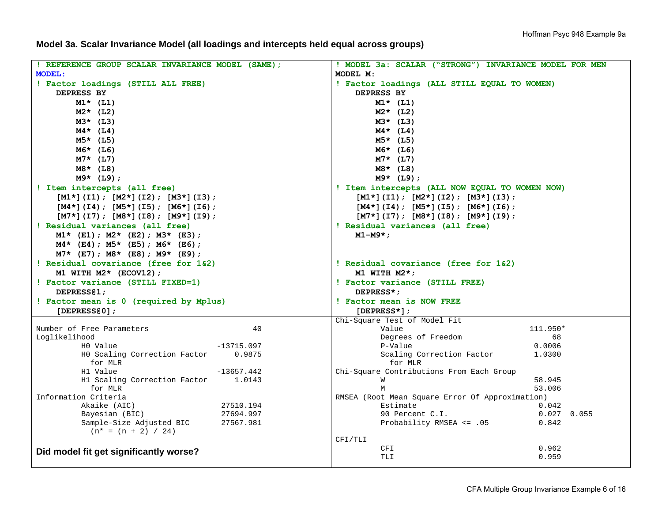**Model 3a. Scalar Invariance Model (all loadings and intercepts held equal across groups)** 

| ! REFERENCE GROUP SCALAR INVARIANCE MODEL (SAME);                    | ! MODEL 3a: SCALAR ("STRONG") INVARIANCE MODEL FOR MEN                |
|----------------------------------------------------------------------|-----------------------------------------------------------------------|
| <b>MODEL:</b>                                                        | MODEL M:                                                              |
| ! Factor loadings (STILL ALL FREE)                                   | ! Factor loadings (ALL STILL EQUAL TO WOMEN)                          |
| DEPRESS BY                                                           | DEPRESS BY                                                            |
| $M1*$ (L1)                                                           | $M1*$ (L1)                                                            |
| $M2*$ (L2)                                                           | $M2*$ (L2)                                                            |
| $M3*$ (L3)                                                           | $M3*$ (L3)                                                            |
| $M4*$ (L4)                                                           | $M4*$ (L4)                                                            |
| $M5*$ (L5)                                                           | $M5*$ (L5)                                                            |
| $M6*$ (L6)                                                           | $M6*$ (L6)                                                            |
|                                                                      |                                                                       |
| $M7*$ (L7)                                                           | $M7*$ (L7)                                                            |
| $M8*$ (L8)                                                           | $M8*$ (L8)                                                            |
| $M9*$ (L9);                                                          | $M9*$ (L9);                                                           |
| ! Item intercepts (all free)                                         | ! Item intercepts (ALL NOW EQUAL TO WOMEN NOW)                        |
| $[M1*](I1); [M2*](I2); [M3*](I3);$                                   | $[M1*](I1); [M2*](I2); [M3*](I3);$                                    |
| $[M4*](I4)$ ; $[M5*](I5)$ ; $[M6*](I6)$ ;                            | $[M4*](I4)$ ; $[M5*](I5)$ ; $[M6*](I6)$ ;                             |
| $[M7*](I7)$ ; $[M8*](I8)$ ; $[M9*](I9)$ ;                            | $[M7*](I7)$ ; $[M8*](I8)$ ; $[M9*](I9)$ ;                             |
| ! Residual variances (all free)                                      | ! Residual variances (all free)                                       |
| $M1*$ (E1); $M2*$ (E2); $M3*$ (E3);                                  | $M1-M9*$ ;                                                            |
| $M4*$ (E4); $M5*$ (E5); $M6*$ (E6);                                  |                                                                       |
| $M7*$ (E7); $M8*$ (E8); $M9*$ (E9);                                  |                                                                       |
| ! Residual covariance (free for 1&2)                                 | ! Residual covariance (free for 1&2)                                  |
| M1 WITH $M2*$ (ECOV12);                                              | M1 WITH $M2*$ ;                                                       |
| ! Factor variance (STILL FIXED=1)                                    | ! Factor variance (STILL FREE)                                        |
| DEPRESS <sub>(2)</sub>                                               | DEPRESS*:                                                             |
| ! Factor mean is 0 (required by Mplus)                               | ! Factor mean is NOW FREE                                             |
| [DEFESS@0];                                                          | $[DEPRESS*]$ ;                                                        |
|                                                                      | Chi-Square Test of Model Fit                                          |
| Number of Free Parameters<br>40                                      | 111.950*<br>Value                                                     |
| Loglikelihood                                                        | Degrees of Freedom<br>68                                              |
| $-13715.097$<br>HO Value                                             | P-Value<br>0.0006                                                     |
| HO Scaling Correction Factor<br>0.9875                               | Scaling Correction Factor<br>1.0300                                   |
|                                                                      |                                                                       |
| for MLR                                                              | for MLR                                                               |
| $-13657.442$<br>H1 Value                                             | Chi-Square Contributions From Each Group                              |
| H1 Scaling Correction Factor<br>1.0143                               | 58.945<br>M                                                           |
| for MLR                                                              | M<br>53.006                                                           |
| Information Criteria                                                 | RMSEA (Root Mean Square Error Of Approximation)                       |
| Akaike (AIC)<br>27510.194                                            | 0.042<br>Estimate                                                     |
| Bayesian (BIC)<br>27694.997<br>Sample-Size Adjusted BIC<br>27567.981 | 90 Percent C.I.<br>$0.027$ 0.055<br>Probability RMSEA <= .05<br>0.842 |
| $(n* = (n + 2) / 24)$                                                |                                                                       |
|                                                                      | CFI/TLI                                                               |
| Did model fit get significantly worse?                               | 0.962<br>CFI<br>0.959<br>TLI                                          |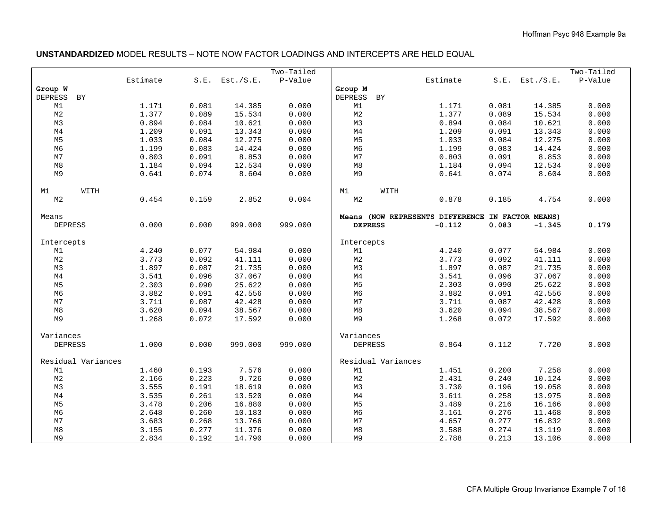### **UNSTANDARDIZED** MODEL RESULTS – NOTE NOW FACTOR LOADINGS AND INTERCEPTS ARE HELD EQUAL

|                      |                |                |                     | Two-Tailed     |                      |                                                   |                |                     | Two-Tailed     |
|----------------------|----------------|----------------|---------------------|----------------|----------------------|---------------------------------------------------|----------------|---------------------|----------------|
|                      | Estimate       |                | $S.E.$ Est./ $S.E.$ | P-Value        |                      | Estimate                                          |                | $S.E.$ Est./ $S.E.$ | P-Value        |
| Group W              |                |                |                     |                | Group M              |                                                   |                |                     |                |
| BY<br><b>DEPRESS</b> |                |                |                     |                | <b>DEPRESS</b><br>BY |                                                   |                |                     |                |
| M1                   | 1.171          | 0.081          | 14.385              | 0.000          | M1                   | 1.171                                             | 0.081          | 14.385              | 0.000          |
| $_{\rm M2}$          | 1.377          | 0.089          | 15.534              | 0.000          | M <sub>2</sub>       | 1.377                                             | 0.089          | 15.534              | 0.000          |
| M3                   | 0.894          | 0.084          | 10.621              | 0.000          | M3                   | 0.894                                             | 0.084          | 10.621              | 0.000          |
| $\mathbb{M}4$        | 1.209          | 0.091          | 13.343              | 0.000          | $\mathbb{M}4$        | 1.209                                             | 0.091          | 13.343              | 0.000          |
| M <sub>5</sub>       | 1.033          | 0.084          | 12.275              | 0.000          | M <sub>5</sub>       | 1.033                                             | 0.084          | 12.275              | 0.000          |
| M <sub>6</sub>       | 1.199          | 0.083          | 14.424              | 0.000          | M <sub>6</sub>       | 1.199                                             | 0.083          | 14.424              | 0.000          |
| M7                   | 0.803          | 0.091          | 8.853               | 0.000          | M <sub>7</sub>       | 0.803                                             | 0.091          | 8.853               | 0.000          |
| $_{\rm M8}$          | 1.184          | 0.094          | 12.534              | 0.000          | M8                   | 1.184                                             | 0.094          | 12.534              | 0.000          |
| M9                   | 0.641          | 0.074          | 8.604               | 0.000          | M <sub>9</sub>       | 0.641                                             | 0.074          | 8.604               | 0.000          |
|                      |                |                |                     |                |                      |                                                   |                |                     |                |
| M1<br>WITH           |                |                |                     |                | M1                   | WITH                                              |                |                     |                |
| M <sub>2</sub>       | 0.454          | 0.159          | 2.852               | 0.004          | M <sub>2</sub>       | 0.878                                             | 0.185          | 4.754               | 0.000          |
|                      |                |                |                     |                |                      |                                                   |                |                     |                |
| Means                |                |                |                     |                |                      | Means (NOW REPRESENTS DIFFERENCE IN FACTOR MEANS) |                |                     |                |
| <b>DEPRESS</b>       | 0.000          | 0.000          | 999.000             | 999.000        | <b>DEPRESS</b>       | $-0.112$                                          | 0.083          | $-1.345$            | 0.179          |
|                      |                |                |                     |                |                      |                                                   |                |                     |                |
| Intercepts           |                |                |                     |                | Intercepts           |                                                   |                |                     |                |
| M1                   | 4.240          | 0.077          | 54.984              | 0.000          | M1                   | 4.240                                             | 0.077          | 54.984              | 0.000          |
| M <sub>2</sub><br>M3 | 3.773<br>1.897 | 0.092<br>0.087 | 41.111              | 0.000          | M <sub>2</sub><br>M3 | 3.773<br>1.897                                    | 0.092<br>0.087 | 41.111<br>21.735    | 0.000<br>0.000 |
| $\mathbb{M}4$        |                | 0.096          | 21.735<br>37.067    | 0.000<br>0.000 |                      |                                                   |                |                     | 0.000          |
| M <sub>5</sub>       | 3.541<br>2.303 | 0.090          | 25.622              | 0.000          | M4<br>M <sub>5</sub> | 3.541<br>2.303                                    | 0.096<br>0.090 | 37.067              | 0.000          |
| M <sub>6</sub>       | 3.882          | 0.091          |                     | 0.000          | M <sub>6</sub>       | 3.882                                             | 0.091          | 25.622<br>42.556    | 0.000          |
| M7                   | 3.711          | 0.087          | 42.556<br>42.428    | 0.000          | M <sub>7</sub>       | 3.711                                             | 0.087          | 42.428              | 0.000          |
| M8                   | 3.620          | 0.094          | 38.567              | 0.000          | M8                   | 3.620                                             | 0.094          | 38.567              | 0.000          |
| M9                   | 1.268          | 0.072          | 17.592              | 0.000          | M <sub>9</sub>       | 1.268                                             | 0.072          | 17.592              | 0.000          |
|                      |                |                |                     |                |                      |                                                   |                |                     |                |
| Variances            |                |                |                     |                | Variances            |                                                   |                |                     |                |
| <b>DEPRESS</b>       | 1.000          | 0.000          | 999.000             | 999.000        | DEPRESS              | 0.864                                             | 0.112          | 7.720               | 0.000          |
|                      |                |                |                     |                |                      |                                                   |                |                     |                |
| Residual Variances   |                |                |                     |                | Residual Variances   |                                                   |                |                     |                |
| $\mathbb{M}1$        | 1.460          | 0.193          | 7.576               | 0.000          | M1                   | 1.451                                             | 0.200          | 7.258               | 0.000          |
| $_{\rm M2}$          | 2.166          | 0.223          | 9.726               | 0.000          | M <sub>2</sub>       | 2.431                                             | 0.240          | 10.124              | 0.000          |
| M3                   | 3.555          | 0.191          | 18.619              | 0.000          | M3                   | 3.730                                             | 0.196          | 19.058              | 0.000          |
| $\mathbb{M}4$        | 3.535          | 0.261          | 13.520              | 0.000          | $\mathbb{M}4$        | 3.611                                             | 0.258          | 13.975              | 0.000          |
| M <sub>5</sub>       | 3.478          | 0.206          | 16.880              | 0.000          | M <sub>5</sub>       | 3.489                                             | 0.216          | 16.166              | 0.000          |
| M <sub>6</sub>       | 2.648          | 0.260          | 10.183              | 0.000          | M <sub>6</sub>       | 3.161                                             | 0.276          | 11.468              | 0.000          |
| $_{\rm M7}$          | 3.683          | 0.268          | 13.766              | 0.000          | M7                   | 4.657                                             | 0.277          | 16.832              | 0.000          |
| M8                   | 3.155          | 0.277          | 11.376              | 0.000          | M8                   | 3.588                                             | 0.274          | 13.119              | 0.000          |
| M9                   | 2.834          | 0.192          | 14.790              | 0.000          | M <sub>9</sub>       | 2.788                                             | 0.213          | 13.106              | 0.000          |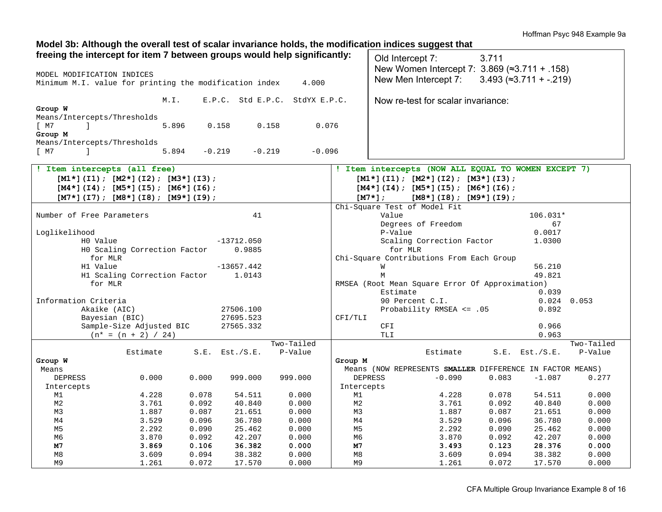Hoffman Psyc 948 Example 9a

### **Model 3b: Although the overall test of scalar invariance holds, the modification indices suggest that**

| freeing the intercept for item 7 between groups would help significantly: |                      |                                |                      | Old Intercept 7:                                          | 3.711          |                                    |                |
|---------------------------------------------------------------------------|----------------------|--------------------------------|----------------------|-----------------------------------------------------------|----------------|------------------------------------|----------------|
| MODEL MODIFICATION INDICES                                                |                      |                                |                      | New Women Intercept 7: 3.869 (≈3.711 + .158)              |                |                                    |                |
| Minimum M.I. value for printing the modification index                    |                      | 4.000                          |                      | New Men Intercept 7:                                      |                | $3.493$ ( $\approx$ 3.711 + -.219) |                |
| M.I.                                                                      |                      | E.P.C. Std E.P.C. StdYX E.P.C. |                      | Now re-test for scalar invariance:                        |                |                                    |                |
| Group W                                                                   |                      |                                |                      |                                                           |                |                                    |                |
| Means/Intercepts/Thresholds                                               |                      |                                |                      |                                                           |                |                                    |                |
| [ M7<br>-1<br>5.896                                                       | 0.158<br>0.158       | 0.076                          |                      |                                                           |                |                                    |                |
| Group M                                                                   |                      |                                |                      |                                                           |                |                                    |                |
| Means/Intercepts/Thresholds                                               |                      |                                |                      |                                                           |                |                                    |                |
| 5.894<br>[ M7<br>$\mathbf{1}$                                             | $-0.219$<br>$-0.219$ | $-0.096$                       |                      |                                                           |                |                                    |                |
| ! Item intercepts (all free)                                              |                      |                                |                      | ! Item intercepts (NOW ALL EQUAL TO WOMEN EXCEPT 7)       |                |                                    |                |
| $[M1*](I1); [M2*](I2); [M3*](I3);$                                        |                      |                                |                      | $[M1*](I1); [M2*](I2); [M3*](I3);$                        |                |                                    |                |
| $[M4*](I4)$ ; $[M5*](I5)$ ; $[M6*](I6)$ ;                                 |                      |                                |                      | $[M4*](I4)$ ; $[M5*](I5)$ ; $[M6*](I6)$ ;                 |                |                                    |                |
| $[M7*](I7); [M8*](I8); [M9*](I9);$                                        |                      |                                |                      | $[M7*]$ ;<br>$[M8*](I8); [M9*](I9);$                      |                |                                    |                |
|                                                                           |                      |                                |                      | Chi-Square Test of Model Fit                              |                |                                    |                |
| Number of Free Parameters                                                 | 41                   |                                |                      | Value                                                     |                | 106.031*                           |                |
|                                                                           |                      |                                |                      | Degrees of Freedom                                        |                | 67                                 |                |
| Loglikelihood                                                             |                      |                                |                      | P-Value                                                   |                | 0.0017                             |                |
| HO Value                                                                  | $-13712.050$         |                                |                      | Scaling Correction Factor                                 |                | 1.0300                             |                |
| HO Scaling Correction Factor                                              | 0.9885               |                                |                      | for MLR                                                   |                |                                    |                |
| for MLR                                                                   |                      |                                |                      | Chi-Square Contributions From Each Group                  |                |                                    |                |
| H1 Value                                                                  | $-13657.442$         |                                |                      | W                                                         |                | 56.210                             |                |
| H1 Scaling Correction Factor<br>for MLR                                   | 1.0143               |                                |                      | M<br>RMSEA (Root Mean Square Error Of Approximation)      |                | 49.821                             |                |
|                                                                           |                      |                                |                      | Estimate                                                  |                | 0.039                              |                |
| Information Criteria                                                      |                      |                                |                      | 90 Percent C.I.                                           |                | $0.024$ 0.053                      |                |
| Akaike (AIC)                                                              | 27506.100            |                                |                      | Probability RMSEA <= .05                                  |                | 0.892                              |                |
| Bayesian (BIC)                                                            | 27695.523            |                                | CFI/TLI              |                                                           |                |                                    |                |
| Sample-Size Adjusted BIC                                                  | 27565.332            |                                |                      | <b>CFI</b>                                                |                | 0.966                              |                |
| $(n* = (n + 2) / 24)$                                                     |                      |                                |                      | TLI                                                       |                | 0.963                              |                |
|                                                                           |                      | Two-Tailed                     |                      |                                                           |                |                                    | Two-Tailed     |
| Estimate                                                                  | $S.E.$ Est./ $S.E.$  | P-Value                        |                      | Estimate                                                  |                | $S.E.$ Est./ $S.E.$                | P-Value        |
| Group W                                                                   |                      |                                | Group M              |                                                           |                |                                    |                |
| Means                                                                     |                      |                                |                      | Means (NOW REPRESENTS SMALLER DIFFERENCE IN FACTOR MEANS) |                |                                    |                |
| 0.000<br>0.000<br><b>DEPRESS</b>                                          | 999.000              | 999.000                        |                      | $-0.090$<br><b>DEPRESS</b>                                | 0.083          | $-1.087$                           | 0.277          |
| Intercepts                                                                |                      |                                | Intercepts           |                                                           |                |                                    |                |
| 0.078<br>M1<br>4.228                                                      | 54.511               | 0.000                          | M1                   | 4.228                                                     | 0.078          | 54.511                             | 0.000          |
| 0.092<br>M <sub>2</sub><br>3.761<br>M3<br>1.887<br>0.087                  | 40.840<br>21.651     | 0.000<br>0.000                 | M <sub>2</sub><br>M3 | 3.761<br>1.887                                            | 0.092<br>0.087 | 40.840<br>21.651                   | 0.000<br>0.000 |
| 3.529<br>0.096<br>M4                                                      | 36.780               | 0.000                          | M4                   | 3.529                                                     | 0.096          | 36.780                             | 0.000          |
| M <sub>5</sub><br>2.292<br>0.090                                          | 25.462               | 0.000                          | M5                   | 2.292                                                     | 0.090          | 25.462                             | 0.000          |
| M6<br>3.870<br>0.092                                                      | 42.207               | 0.000                          | M6                   | 3.870                                                     | 0.092          | 42.207                             | 0.000          |
| M7<br>3.869<br>0.106                                                      | 36.382               | 0.000                          | M7                   | 3.493                                                     | 0.123          | 28.376                             | 0.000          |
| M8<br>3.609<br>0.094                                                      | 38.382               | 0.000                          | M8                   | 3.609                                                     | 0.094          | 38.382                             | 0.000          |
| M <sub>9</sub><br>1.261<br>0.072                                          | 17.570               | 0.000                          | M <sub>9</sub>       | 1.261                                                     | 0.072          | 17.570                             | 0.000          |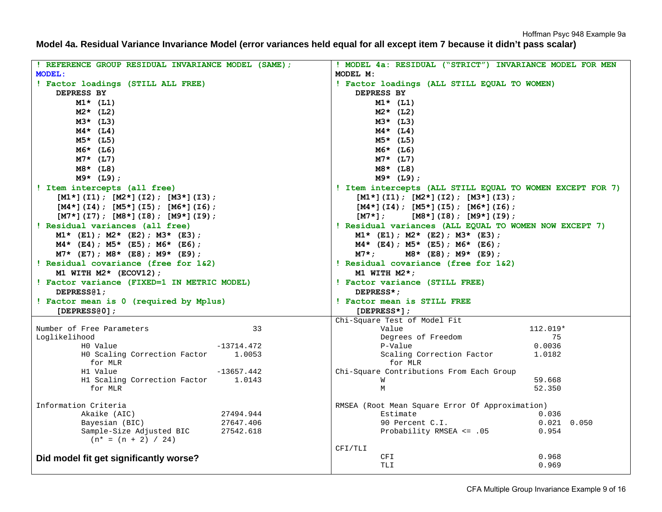**Model 4a. Residual Variance Invariance Model (error variances held equal for all except item 7 because it didn't pass scalar)** 

| ! REFERENCE GROUP RESIDUAL INVARIANCE MODEL (SAME);           | ! MODEL 4a: RESIDUAL ("STRICT") INVARIANCE MODEL FOR MEN             |
|---------------------------------------------------------------|----------------------------------------------------------------------|
| <b>MODEL:</b>                                                 | MODEL M:                                                             |
| ! Factor loadings (STILL ALL FREE)                            | ! Factor loadings (ALL STILL EQUAL TO WOMEN)                         |
| DEPRESS BY                                                    | DEPRESS BY                                                           |
| $M1*$ (L1)                                                    | $M1*$ (L1)                                                           |
| $M2*$ (L2)                                                    | $M2*$ (L2)                                                           |
| $M3*$ (L3)                                                    | $M3*$ (L3)                                                           |
| $M4*$ (L4)                                                    | $M4*$ (L4)                                                           |
| $M5*$ (L5)                                                    | $M5*$ (L5)                                                           |
| $M6*$ (L6)                                                    | $M6*$ (L6)                                                           |
| $M7*$ (L7)                                                    | $M7*$ (L7)                                                           |
| $M8*$ (L8)                                                    | $M8*$ (L8)                                                           |
| $M9*$ (L9);                                                   | $M9*$ (L9);                                                          |
| ! Item intercepts (all free)                                  | ! Item intercepts (ALL STILL EQUAL TO WOMEN EXCEPT FOR 7)            |
| $[M1*](I1); [M2*](I2); [M3*](I3);$                            | $[M1*](I1); [M2*](I2); [M3*](I3);$                                   |
| $[M4*](I4)$ ; $[M5*](I5)$ ; $[M6*](I6)$ ;                     | $[M4*](I4)$ ; $[M5*](I5)$ ; $[M6*](I6)$ ;                            |
| $[M7*](I7)$ ; $[M8*](I8)$ ; $[M9*](I9)$ ;                     | $[M7*]$ ;<br>$[M8*](I8)$ ; $[M9*](I9)$ ;                             |
| ! Residual variances (all free)                               | ! Residual variances (ALL EQUAL TO WOMEN NOW EXCEPT 7)               |
| $M1*$ (E1); $M2*$ (E2); $M3*$ (E3);                           | $M1*$ (E1); $M2*$ (E2); $M3*$ (E3);                                  |
| $M4*$ (E4); $M5*$ (E5); $M6*$ (E6);                           | $M4*$ (E4); $M5*$ (E5); $M6*$ (E6);                                  |
| $M7*$ (E7); $M8*$ (E8); $M9*$ (E9);                           | $M8*$ (E8); M9* (E9);<br>$M7*$ :                                     |
| ! Residual covariance (free for 1&2)                          | ! Residual covariance (free for 1&2)                                 |
| M1 WITH $M2*$ (ECOV12);                                       | M1 WITH $M2*$ ;                                                      |
| ! Factor variance (FIXED=1 IN METRIC MODEL)                   | ! Factor variance (STILL FREE)                                       |
| DEPRESS@1;                                                    | DEPRESS*;                                                            |
| ! Factor mean is 0 (required by Mplus)                        | ! Factor mean is STILL FREE                                          |
| [DEPRESS $0$ ];                                               | $[DEPRESS*]$ ;                                                       |
|                                                               | Chi-Square Test of Model Fit                                         |
| Number of Free Parameters<br>33                               | Value<br>$112.019*$                                                  |
| Loglikelihood                                                 | Degrees of Freedom<br>75                                             |
| H0 Value<br>$-13714.472$                                      | P-Value<br>0.0036                                                    |
| HO Scaling Correction Factor 1.0053                           | Scaling Correction Factor<br>1.0182                                  |
| for MLR                                                       | for MLR                                                              |
| H1 Value<br>-13657.442<br>H1 Scaling Correction Factor 1.0143 |                                                                      |
|                                                               | Chi-Square Contributions From Each Group                             |
|                                                               | 59.668<br>M                                                          |
| for MLR                                                       | M<br>52.350                                                          |
|                                                               |                                                                      |
| Information Criteria<br>Akaike (AIC)<br>27494.944             | RMSEA (Root Mean Square Error Of Approximation)<br>Estimate<br>0.036 |
| Bayesian (BIC)<br>27647.406                                   | 90 Percent C.I.<br>$0.021$ $0.050$                                   |
| Sample-Size Adjusted BIC<br>27542.618                         | Probability RMSEA <= .05<br>0.954                                    |
| $(n* = (n + 2) / 24)$                                         |                                                                      |
|                                                               | CFI/TLI                                                              |
| Did model fit get significantly worse?                        | 0.968<br>CFI<br>TLI<br>0.969                                         |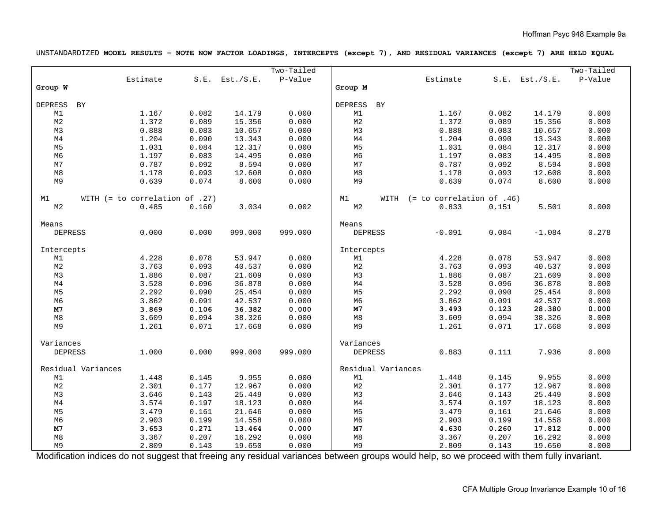UNSTANDARDIZED **MODEL RESULTS – NOTE NOW FACTOR LOADINGS, INTERCEPTS (except 7), AND RESIDUAL VARIANCES (except 7) ARE HELD EQUAL** 

|                |                    |                                  |       |                     | Two-Tailed |                    |      |                             |       |                     | Two-Tailed |
|----------------|--------------------|----------------------------------|-------|---------------------|------------|--------------------|------|-----------------------------|-------|---------------------|------------|
|                |                    | Estimate                         |       | $S.E.$ Est./ $S.E.$ | P-Value    |                    |      | Estimate                    |       | $S.E.$ Est./ $S.E.$ | P-Value    |
| Group W        |                    |                                  |       |                     |            | Group M            |      |                             |       |                     |            |
|                |                    |                                  |       |                     |            |                    |      |                             |       |                     |            |
| <b>DEPRESS</b> | BY                 |                                  |       |                     |            | <b>DEPRESS</b>     | BY   |                             |       |                     |            |
| M1             |                    | 1.167                            | 0.082 | 14.179              | 0.000      | M1                 |      | 1.167                       | 0.082 | 14.179              | 0.000      |
| $\mathsf{M}2$  |                    | 1.372                            | 0.089 | 15.356              | 0.000      | M <sub>2</sub>     |      | 1.372                       | 0.089 | 15.356              | 0.000      |
| M3             |                    | 0.888                            | 0.083 | 10.657              | 0.000      | M3                 |      | 0.888                       | 0.083 | 10.657              | 0.000      |
| M <sub>4</sub> |                    | 1.204                            | 0.090 | 13.343              | 0.000      | M <sub>4</sub>     |      | 1.204                       | 0.090 | 13.343              | 0.000      |
| M <sub>5</sub> |                    | 1.031                            | 0.084 | 12.317              | 0.000      | M <sub>5</sub>     |      | 1.031                       | 0.084 | 12.317              | 0.000      |
| M6             |                    | 1.197                            | 0.083 | 14.495              | 0.000      | M <sub>6</sub>     |      | 1.197                       | 0.083 | 14.495              | 0.000      |
| $_{\rm M7}$    |                    | 0.787                            | 0.092 | 8.594               | 0.000      | M7                 |      | 0.787                       | 0.092 | 8.594               | 0.000      |
| $\rm M8$       |                    | 1.178                            | 0.093 | 12.608              | 0.000      | M8                 |      | 1.178                       | 0.093 | 12.608              | 0.000      |
| M9             |                    | 0.639                            | 0.074 | 8.600               | 0.000      | M9                 |      | 0.639                       | 0.074 | 8.600               | 0.000      |
|                |                    |                                  |       |                     |            |                    |      |                             |       |                     |            |
| М1             |                    | WITH $(= to correlation of .27)$ |       |                     |            | M1                 | WITH | $(= to correlation of .46)$ |       |                     |            |
| M2             |                    | 0.485                            | 0.160 | 3.034               | 0.002      | M <sub>2</sub>     |      | 0.833                       | 0.151 | 5.501               | 0.000      |
|                |                    |                                  |       |                     |            |                    |      |                             |       |                     |            |
| Means          |                    |                                  |       |                     |            | Means              |      |                             |       |                     |            |
| <b>DEPRESS</b> |                    | 0.000                            | 0.000 | 999.000             | 999.000    | <b>DEPRESS</b>     |      | $-0.091$                    | 0.084 | $-1.084$            | 0.278      |
|                |                    |                                  |       |                     |            |                    |      |                             |       |                     |            |
| Intercepts     |                    |                                  |       |                     |            | Intercepts         |      |                             |       |                     |            |
| M1             |                    | 4.228                            | 0.078 | 53.947              | 0.000      | M1                 |      | 4.228                       | 0.078 | 53.947              | 0.000      |
| $\mathsf{M}2$  |                    | 3.763                            | 0.093 | 40.537              | 0.000      | M <sub>2</sub>     |      | 3.763                       | 0.093 | 40.537              | 0.000      |
| M3             |                    | 1.886                            | 0.087 | 21.609              | 0.000      | M3                 |      | 1.886                       | 0.087 | 21.609              | 0.000      |
| M <sub>4</sub> |                    | 3.528                            | 0.096 | 36.878              | 0.000      | M <sub>4</sub>     |      | 3.528                       | 0.096 | 36.878              | 0.000      |
| M <sub>5</sub> |                    | 2.292                            | 0.090 | 25.454              | 0.000      | M <sub>5</sub>     |      | 2.292                       | 0.090 | 25.454              | 0.000      |
| M6             |                    | 3.862                            | 0.091 | 42.537              | 0.000      | M <sub>6</sub>     |      | 3.862                       | 0.091 | 42.537              | 0.000      |
| M7             |                    | 3.869                            | 0.106 | 36.382              | 0.000      | M7                 |      | 3.493                       | 0.123 | 28.380              | 0.000      |
| $\mathtt{M}8$  |                    | 3.609                            | 0.094 | 38.326              | 0.000      | M8                 |      | 3.609                       | 0.094 | 38.326              | 0.000      |
| M9             |                    | 1.261                            | 0.071 | 17.668              | 0.000      | M9                 |      | 1.261                       | 0.071 | 17.668              | 0.000      |
|                |                    |                                  |       |                     |            |                    |      |                             |       |                     |            |
| Variances      |                    |                                  |       |                     |            | Variances          |      |                             |       |                     |            |
| <b>DEPRESS</b> |                    | 1.000                            | 0.000 | 999.000             | 999.000    | <b>DEPRESS</b>     |      | 0.883                       | 0.111 | 7.936               | 0.000      |
|                |                    |                                  |       |                     |            |                    |      |                             |       |                     |            |
|                | Residual Variances |                                  |       |                     |            | Residual Variances |      |                             |       |                     |            |
| M1             |                    | 1.448                            | 0.145 | 9.955               | 0.000      | M1                 |      | 1.448                       | 0.145 | 9.955               | 0.000      |
| $\mathsf{M}2$  |                    | 2.301                            | 0.177 | 12.967              | 0.000      | M <sub>2</sub>     |      | 2.301                       | 0.177 | 12.967              | 0.000      |
| M3             |                    | 3.646                            | 0.143 | 25.449              | 0.000      | M3                 |      | 3.646                       | 0.143 | 25.449              | 0.000      |
| M <sub>4</sub> |                    | 3.574                            | 0.197 | 18.123              | 0.000      | M <sub>4</sub>     |      | 3.574                       | 0.197 | 18.123              | 0.000      |
| M <sub>5</sub> |                    | 3.479                            | 0.161 | 21.646              | 0.000      | M <sub>5</sub>     |      | 3.479                       | 0.161 | 21.646              | 0.000      |
| M <sub>6</sub> |                    | 2.903                            | 0.199 | 14.558              | 0.000      | M <sub>6</sub>     |      | 2.903                       | 0.199 | 14.558              | 0.000      |
| M7             |                    | 3.653                            | 0.271 | 13.464              | 0.000      | M7                 |      | 4.630                       | 0.260 | 17.812              | 0.000      |
| M8             |                    | 3.367                            | 0.207 | 16.292              | 0.000      | M8                 |      | 3.367                       | 0.207 | 16.292              | 0.000      |
| M <sub>9</sub> |                    | 2.809                            | 0.143 | 19.650              | 0.000      | M9                 |      | 2.809                       | 0.143 | 19.650              | 0.000      |

Modification indices do not suggest that freeing any residual variances between groups would help, so we proceed with them fully invariant.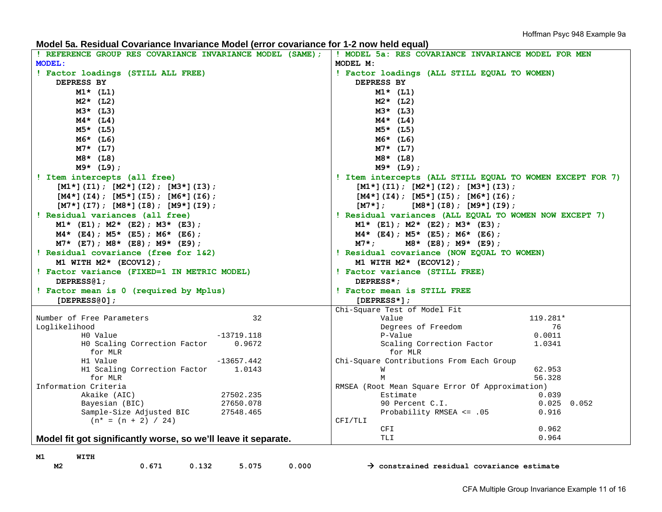**Model 5a. Residual Covariance Invariance Model (error covariance for 1-2 now held equal)** 

| ! REFERENCE GROUP RES COVARIANCE INVARIANCE MODEL (SAME);      | ! MODEL 5a: RES COVARIANCE INVARIANCE MODEL FOR MEN       |
|----------------------------------------------------------------|-----------------------------------------------------------|
| MODEL:                                                         | MODEL M:                                                  |
| ! Factor loadings (STILL ALL FREE)                             | ! Factor loadings (ALL STILL EQUAL TO WOMEN)              |
| DEPRESS BY                                                     | DEPRESS BY                                                |
| $M1*$ (L1)                                                     | $M1*$ (L1)                                                |
| $M2*$ (L2)                                                     | $M2*$ (L2)                                                |
| $M3*$ (L3)                                                     | $M3*$ (L3)                                                |
| $M4*$ (L4)                                                     | $M4*$ (L4)                                                |
| $M5*$ (L5)                                                     | $M5*$ (L5)                                                |
| $M6*$ (L6)                                                     | $M6*$ (L6)                                                |
| $M7*$ (L7)                                                     | $M7*$ (L7)                                                |
| $M8*$ (L8)                                                     | $M8*$ (L8)                                                |
| $M9*$ (L9);                                                    | $M9*$ (L9);                                               |
|                                                                |                                                           |
| ! Item intercepts (all free)                                   | ! Item intercepts (ALL STILL EQUAL TO WOMEN EXCEPT FOR 7) |
| $[M1*](I1); [M2*](I2); [M3*](I3);$                             | $[M1*](I1); [M2*](I2); [M3*](I3);$                        |
| $[M4*](I4); [M5*](I5); [M6*](I6);$                             | $[M4*](I4)$ ; $[M5*](I5)$ ; $[M6*](I6)$ ;                 |
| $[M7*](I7); [M8*](I8); [M9*](I9);$                             | $[M7*]$ ;<br>$[M8*](I8); [M9*](I9);$                      |
| ! Residual variances (all free)                                | ! Residual variances (ALL EQUAL TO WOMEN NOW EXCEPT 7)    |
| $M1*$ (E1); $M2*$ (E2); $M3*$ (E3);                            | $M1*$ (E1); $M2*$ (E2); $M3*$ (E3);                       |
| $M4*$ (E4); M5* (E5); M6* (E6);                                | $M4*$ (E4); M5* (E5); M6* (E6);                           |
| $M7*$ (E7); $M8*$ (E8); $M9*$ (E9);                            | M7* ;<br>$M8*$ (E8); M9* (E9);                            |
| ! Residual covariance (free for 1&2)                           | ! Residual covariance (NOW EQUAL TO WOMEN)                |
|                                                                |                                                           |
| M1 WITH $M2*$ (ECOV12);                                        | M1 WITH $M2*$ (ECOV12);                                   |
| ! Factor variance (FIXED=1 IN METRIC MODEL)                    | ! Factor variance (STILL FREE)                            |
| DEPRESS@1;                                                     | DEPRESS*;                                                 |
| ! Factor mean is 0 (required by Mplus)                         | ! Factor mean is STILL FREE                               |
| $[DEPRESS@0]$ ;                                                | $[DEPRESS*]$ ;                                            |
|                                                                | Chi-Square Test of Model Fit                              |
| 32<br>Number of Free Parameters                                | 119.281*<br>Value                                         |
| Loglikelihood                                                  | Degrees of Freedom<br>76                                  |
| HO Value<br>$-13719.118$                                       | P-Value<br>0.0011                                         |
| HO Scaling Correction Factor<br>0.9672                         | Scaling Correction Factor<br>1.0341                       |
| for MLR                                                        | for MLR                                                   |
| $-13657.442$<br>H1 Value                                       | Chi-Square Contributions From Each Group                  |
| H1 Scaling Correction Factor<br>1.0143                         | M<br>62.953                                               |
| for MLR                                                        | М<br>56.328                                               |
| Information Criteria                                           | RMSEA (Root Mean Square Error Of Approximation)           |
| 27502.235<br>Akaike (AIC)                                      | Estimate<br>0.039                                         |
| Bayesian (BIC)<br>27650.078                                    | $0.025$ 0.052<br>90 Percent C.I.                          |
| Sample-Size Adjusted BIC<br>27548.465                          | Probability RMSEA $\leq$ .05<br>0.916<br>CFI/TLI          |
| $(n* = (n + 2) / 24)$                                          | 0.962<br>CFI                                              |
|                                                                | <b>TLI</b><br>0.964                                       |
| Model fit got significantly worse, so we'll leave it separate. |                                                           |
| M1<br>WITH                                                     |                                                           |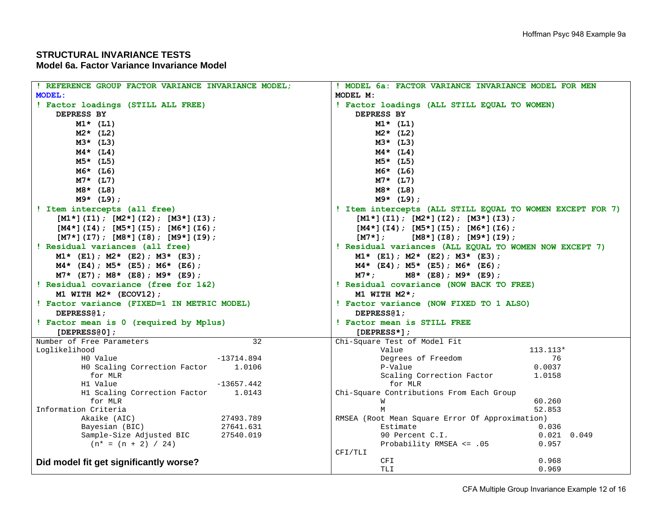# **STRUCTURAL INVARIANCE TESTS**

## **Model 6a. Factor Variance Invariance Model**

| ! REFERENCE GROUP FACTOR VARIANCE INVARIANCE MODEL;             | ! MODEL 6a: FACTOR VARIANCE INVARIANCE MODEL FOR MEN      |  |  |  |  |  |  |
|-----------------------------------------------------------------|-----------------------------------------------------------|--|--|--|--|--|--|
| <b>MODEL:</b>                                                   | MODEL M:                                                  |  |  |  |  |  |  |
| ! Factor loadings (STILL ALL FREE)                              | ! Factor loadings (ALL STILL EQUAL TO WOMEN)              |  |  |  |  |  |  |
| DEPRESS BY                                                      | DEPRESS BY                                                |  |  |  |  |  |  |
| $M1*$ (L1)                                                      | $M1*$ (L1)                                                |  |  |  |  |  |  |
| $M2*$ (L2)                                                      | $M2*$ (L2)                                                |  |  |  |  |  |  |
| $M3*$ (L3)                                                      | $M3*$ (L3)                                                |  |  |  |  |  |  |
| $M4*$ (L4)                                                      | $M4*$ (L4)                                                |  |  |  |  |  |  |
| $M5*$ (L5)                                                      | $M5*$ (L5)                                                |  |  |  |  |  |  |
| $M6*$ (L6)                                                      | M6* (L6)                                                  |  |  |  |  |  |  |
| $M7*$ (L7)                                                      | $M7*$ (L7)                                                |  |  |  |  |  |  |
| $M8*$ (L8)                                                      | $M8*$ (L8)                                                |  |  |  |  |  |  |
| $M9*$ (L9);                                                     | $M9*$ (L9);                                               |  |  |  |  |  |  |
| ! Item intercepts (all free)                                    | ! Item intercepts (ALL STILL EQUAL TO WOMEN EXCEPT FOR 7) |  |  |  |  |  |  |
| $[M1*](I1); [M2*](I2); [M3*](I3);$                              | $[M1*](I1); [M2*](I2); [M3*](I3);$                        |  |  |  |  |  |  |
| $[M4*](14)$ ; $[M5*](15)$ ; $[M6*](16)$ ;                       | $[M4*](14)$ ; $[M5*](15)$ ; $[M6*](16)$ ;                 |  |  |  |  |  |  |
| $[M7*](I7); [M8*](I8); [M9*](I9);$                              | $[M7*]$ ;<br>$[M8*](I8); [M9*](I9);$                      |  |  |  |  |  |  |
| ! Residual variances (all free)                                 | ! Residual variances (ALL EQUAL TO WOMEN NOW EXCEPT 7)    |  |  |  |  |  |  |
| $M1*$ (E1); $M2*$ (E2); $M3*$ (E3);                             | $M1*$ (E1); $M2*$ (E2); $M3*$ (E3);                       |  |  |  |  |  |  |
| $M4*$ (E4); $M5*$ (E5); $M6*$ (E6);                             | $M4*$ (E4); $M5*$ (E5); $M6*$ (E6);                       |  |  |  |  |  |  |
| $M7*$ (E7); $M8*$ (E8); $M9*$ (E9);                             | M7* ;<br>$M8*$ (E8); M9* (E9);                            |  |  |  |  |  |  |
| ! Residual covariance (free for 1&2)                            | ! Residual covariance (NOW BACK TO FREE)                  |  |  |  |  |  |  |
| M1 WITH $M2*$ (ECOV12);                                         | M1 WITH $M2*$ ;                                           |  |  |  |  |  |  |
| ! Factor variance (FIXED=1 IN METRIC MODEL)                     | ! Factor variance (NOW FIXED TO 1 ALSO)                   |  |  |  |  |  |  |
| DEPRESS@1;                                                      | DEPRESS@1;                                                |  |  |  |  |  |  |
| ! Factor mean is 0 (required by Mplus)                          | ! Factor mean is STILL FREE                               |  |  |  |  |  |  |
| $[DEPRES80]$ ;                                                  | $[DEPRESS*]$ ;                                            |  |  |  |  |  |  |
| Number of Free Parameters<br>32                                 | Chi-Square Test of Model Fit                              |  |  |  |  |  |  |
| Loglikelihood                                                   | Value<br>$113.113*$                                       |  |  |  |  |  |  |
| $-13714.894$<br>HO Value                                        | Degrees of Freedom<br>76                                  |  |  |  |  |  |  |
| HO Scaling Correction Factor<br>1.0106                          | P-Value<br>0.0037                                         |  |  |  |  |  |  |
| for MLR                                                         | Scaling Correction Factor<br>1.0158<br>for MLR            |  |  |  |  |  |  |
| H1 Value<br>$-13657.442$<br>H1 Scaling Correction Factor 1.0143 | Chi-Square Contributions From Each Group                  |  |  |  |  |  |  |
| for MLR                                                         | 60.260<br>W                                               |  |  |  |  |  |  |
| Information Criteria                                            | 52.853<br>М                                               |  |  |  |  |  |  |
| Akaike (AIC)<br>27493.789                                       | RMSEA (Root Mean Square Error Of Approximation)           |  |  |  |  |  |  |
| Bayesian (BIC)<br>27641.631                                     | Estimate<br>0.036                                         |  |  |  |  |  |  |
| Sample-Size Adjusted BIC<br>27540.019                           | 90 Percent C.I.<br>$0.021$ $0.049$                        |  |  |  |  |  |  |
| $(n* = (n + 2) / 24)$                                           | Probability RMSEA <= .05<br>0.957                         |  |  |  |  |  |  |
|                                                                 | CFI/TLI                                                   |  |  |  |  |  |  |
| Did model fit get significantly worse?                          | CFI<br>0.968                                              |  |  |  |  |  |  |
|                                                                 | TLI<br>0.969                                              |  |  |  |  |  |  |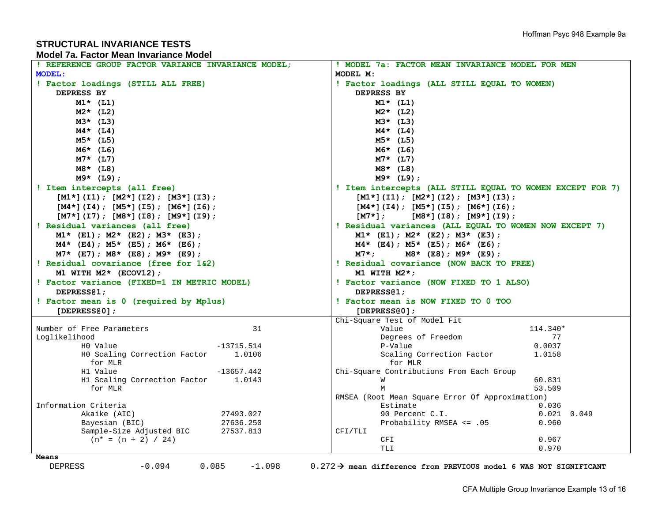## **STRUCTURAL INVARIANCE TESTSModel 7a. Factor Mean Invariance Model**

| REFERENCE GROUP FACTOR VARIANCE INVARIANCE MODEL;       | ! MODEL 7a: FACTOR MEAN INVARIANCE MODEL FOR MEN          |  |  |  |  |  |  |
|---------------------------------------------------------|-----------------------------------------------------------|--|--|--|--|--|--|
| <b>MODEL:</b>                                           | MODEL M:                                                  |  |  |  |  |  |  |
| ! Factor loadings (STILL ALL FREE)                      | ! Factor loadings (ALL STILL EQUAL TO WOMEN)              |  |  |  |  |  |  |
| DEPRESS BY                                              | DEPRESS BY                                                |  |  |  |  |  |  |
| $M1*$ (L1)                                              | $M1*$ (L1)                                                |  |  |  |  |  |  |
| $M2*$ (L2)                                              | $M2*$ (L2)                                                |  |  |  |  |  |  |
| $M3*$ (L3)                                              | $M3*$ (L3)                                                |  |  |  |  |  |  |
| $M4*$ (L4)                                              |                                                           |  |  |  |  |  |  |
|                                                         | $M4*$ (L4)                                                |  |  |  |  |  |  |
| $M5*$ (L5)                                              | $M5*$ (L5)                                                |  |  |  |  |  |  |
| $M6*$ (L6)                                              | $M6*$ (L6)                                                |  |  |  |  |  |  |
| $M7*$ (L7)                                              | $M7*$ (L7)                                                |  |  |  |  |  |  |
| $M8*$ (L8)                                              | $M8*$ (L8)                                                |  |  |  |  |  |  |
| $M9*$ (L9);                                             | $M9*$ (L9);                                               |  |  |  |  |  |  |
| ! Item intercepts (all free)                            | ! Item intercepts (ALL STILL EQUAL TO WOMEN EXCEPT FOR 7) |  |  |  |  |  |  |
| $[M1*](I1); [M2*](I2); [M3*](I3);$                      | $[M1*](I1); [M2*](I2); [M3*](I3);$                        |  |  |  |  |  |  |
| $[M4*](I4)$ ; $[M5*](I5)$ ; $[M6*](I6)$ ;               | $[M4*](I4)$ ; $[M5*](I5)$ ; $[M6*](I6)$ ;                 |  |  |  |  |  |  |
| $[M7*](I7)$ ; $[M8*](I8)$ ; $[M9*](I9)$ ;               | $[M7*1:$<br>$[M8*](I8); [M9*](I9);$                       |  |  |  |  |  |  |
| ! Residual variances (all free)                         | ! Residual variances (ALL EQUAL TO WOMEN NOW EXCEPT 7)    |  |  |  |  |  |  |
| $M1*$ (E1); $M2*$ (E2); $M3*$ (E3);                     | $M1*$ (E1); $M2*$ (E2); $M3*$ (E3);                       |  |  |  |  |  |  |
| $M4*$ (E4); $M5*$ (E5); $M6*$ (E6);                     | $M4*$ (E4); M5* (E5); M6* (E6);                           |  |  |  |  |  |  |
| $M7*$ (E7); $M8*$ (E8); $M9*$ (E9);                     | M8* (E8); M9* (E9);<br>$M7*$ ;                            |  |  |  |  |  |  |
| ! Residual covariance (free for 1&2)                    | ! Residual covariance (NOW BACK TO FREE)                  |  |  |  |  |  |  |
| M1 WITH $M2*$ (ECOV12);                                 | M1 WITH $M2*$ ;                                           |  |  |  |  |  |  |
| ! Factor variance (FIXED=1 IN METRIC MODEL)             | ! Factor variance (NOW FIXED TO 1 ALSO)                   |  |  |  |  |  |  |
| DEPRESS <sub>(2)</sub>                                  | DEPRESS <sub>(1</sub> ;                                   |  |  |  |  |  |  |
| ! Factor mean is 0 (required by Mplus)                  | ! Factor mean is NOW FIXED TO 0 TOO                       |  |  |  |  |  |  |
| [DEPRESS $@01;$                                         | $[DEPRESS@0]$ ;                                           |  |  |  |  |  |  |
|                                                         | Chi-Square Test of Model Fit                              |  |  |  |  |  |  |
| Number of Free Parameters<br>31                         | 114.340*<br>Value                                         |  |  |  |  |  |  |
| Loglikelihood                                           | Degrees of Freedom<br>77                                  |  |  |  |  |  |  |
| HO Value<br>$-13715.514$                                | P-Value<br>0.0037                                         |  |  |  |  |  |  |
| HO Scaling Correction Factor 1.0106                     | Scaling Correction Factor<br>1.0158                       |  |  |  |  |  |  |
| for MLR                                                 | for MLR                                                   |  |  |  |  |  |  |
| H1 Value<br>$-13657.442$                                | Chi-Square Contributions From Each Group                  |  |  |  |  |  |  |
| H1 Scaling Correction Factor 1.0143                     | 60.831<br>M                                               |  |  |  |  |  |  |
| for MLR                                                 | 53.509<br>М                                               |  |  |  |  |  |  |
|                                                         | RMSEA (Root Mean Square Error Of Approximation)           |  |  |  |  |  |  |
| Information Criteria                                    | Estimate<br>0.036                                         |  |  |  |  |  |  |
| Akaike (AIC)<br>27493.027                               | 90 Percent C.I.<br>$0.021$ 0.049                          |  |  |  |  |  |  |
| Bayesian (BIC)<br>27636.250<br>Sample-Size Adjusted BIC | Probability RMSEA <= .05<br>0.960<br>CFI/TLI              |  |  |  |  |  |  |
| 27537.813<br>$(n* = (n + 2) / 24)$                      | CFI<br>0.967                                              |  |  |  |  |  |  |
|                                                         | TLI<br>0.970                                              |  |  |  |  |  |  |
| Means                                                   |                                                           |  |  |  |  |  |  |

DEPRESS  $-0.094$   $0.085$   $-1.098$   $0.272$   $\rightarrow$  mean difference from PREVIOUS model 6 WAS NOT SIGNIFICANT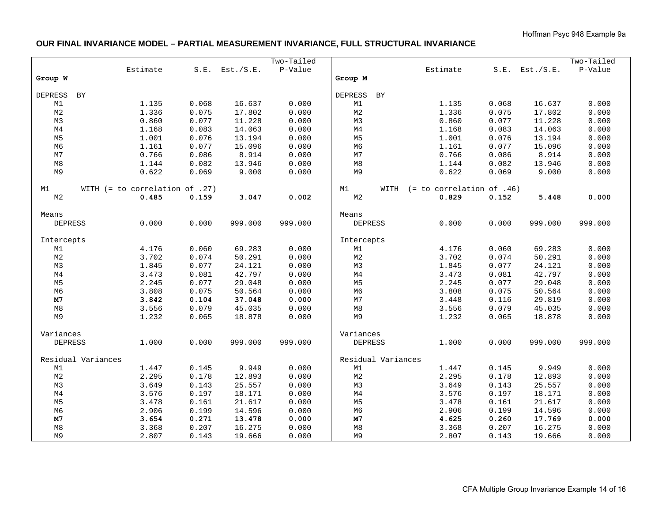## **OUR FINAL INVARIANCE MODEL – PARTIAL MEASUREMENT INVARIANCE, FULL STRUCTURAL INVARIANCE**

|                    |                                  |          |       |                     | Two-Tailed |                |      |                             |       |           | Two-Tailed |
|--------------------|----------------------------------|----------|-------|---------------------|------------|----------------|------|-----------------------------|-------|-----------|------------|
|                    |                                  | Estimate |       | $S.E.$ Est./ $S.E.$ | P-Value    |                |      | Estimate                    | S.E.  | Est./S.E. | P-Value    |
| Group W            |                                  |          |       |                     |            | Group M        |      |                             |       |           |            |
|                    |                                  |          |       |                     |            |                |      |                             |       |           |            |
| <b>DEPRESS</b>     | BY                               |          |       |                     |            | <b>DEPRESS</b> | BY   |                             |       |           |            |
| M1                 |                                  | 1.135    | 0.068 | 16.637              | 0.000      | M1             |      | 1.135                       | 0.068 | 16.637    | 0.000      |
| M <sub>2</sub>     |                                  | 1.336    | 0.075 | 17.802              | 0.000      | M <sub>2</sub> |      | 1.336                       | 0.075 | 17.802    | 0.000      |
| M3                 |                                  | 0.860    | 0.077 | 11.228              | 0.000      | M3             |      | 0.860                       | 0.077 | 11.228    | 0.000      |
| M <sub>4</sub>     |                                  | 1.168    | 0.083 | 14.063              | 0.000      | M <sub>4</sub> |      | 1.168                       | 0.083 | 14.063    | 0.000      |
| M <sub>5</sub>     |                                  | 1.001    | 0.076 | 13.194              | 0.000      | M <sub>5</sub> |      | 1.001                       | 0.076 | 13.194    | 0.000      |
| M <sub>6</sub>     |                                  | 1.161    | 0.077 | 15.096              | 0.000      | M <sub>6</sub> |      | 1.161                       | 0.077 | 15.096    | 0.000      |
| M7                 |                                  | 0.766    | 0.086 | 8.914               | 0.000      | M7             |      | 0.766                       | 0.086 | 8.914     | 0.000      |
| M8                 |                                  | 1.144    | 0.082 | 13.946              | 0.000      | $\rm M8$       |      | 1.144                       | 0.082 | 13.946    | 0.000      |
| M9                 |                                  | 0.622    | 0.069 | 9.000               | 0.000      | M9             |      | 0.622                       | 0.069 | 9.000     | 0.000      |
|                    |                                  |          |       |                     |            |                |      |                             |       |           |            |
| M1                 | WITH $(= to correlation of .27)$ |          |       |                     |            | M1             | WITH | $(= to correlation of .46)$ |       |           |            |
| M2                 |                                  | 0.485    | 0.159 | 3.047               | 0.002      | M <sub>2</sub> |      | 0.829                       | 0.152 | 5.448     | 0.000      |
| Means              |                                  |          |       |                     |            | Means          |      |                             |       |           |            |
| <b>DEPRESS</b>     |                                  | 0.000    | 0.000 | 999.000             | 999.000    | <b>DEPRESS</b> |      | 0.000                       | 0.000 | 999.000   | 999.000    |
|                    |                                  |          |       |                     |            |                |      |                             |       |           |            |
| Intercepts         |                                  |          |       |                     |            | Intercepts     |      |                             |       |           |            |
| M1                 |                                  | 4.176    | 0.060 | 69.283              | 0.000      | M1             |      | 4.176                       | 0.060 | 69.283    | 0.000      |
| M <sub>2</sub>     |                                  | 3.702    | 0.074 | 50.291              | 0.000      | $_{\rm M2}$    |      | 3.702                       | 0.074 | 50.291    | 0.000      |
| M3                 |                                  | 1.845    | 0.077 | 24.121              | 0.000      | M3             |      | 1.845                       | 0.077 | 24.121    | 0.000      |
| M <sub>4</sub>     |                                  | 3.473    | 0.081 | 42.797              | 0.000      | M <sub>4</sub> |      | 3.473                       | 0.081 | 42.797    | 0.000      |
| M <sub>5</sub>     |                                  | 2.245    | 0.077 | 29.048              | 0.000      | M <sub>5</sub> |      | 2.245                       | 0.077 | 29.048    | 0.000      |
| M6                 |                                  | 3.808    | 0.075 | 50.564              | 0.000      | M6             |      | 3.808                       | 0.075 | 50.564    | 0.000      |
| M7                 |                                  | 3.842    | 0.104 | 37.048              | 0.000      | M7             |      | 3.448                       | 0.116 | 29.819    | 0.000      |
| $\rm M8$           |                                  | 3.556    | 0.079 | 45.035              | 0.000      | $\mathtt{M}8$  |      | 3.556                       | 0.079 | 45.035    | 0.000      |
| M9                 |                                  | 1.232    | 0.065 | 18.878              | 0.000      | M9             |      | 1.232                       | 0.065 | 18.878    | 0.000      |
|                    |                                  |          |       |                     |            |                |      |                             |       |           |            |
| Variances          |                                  |          |       |                     |            | Variances      |      |                             |       |           |            |
| <b>DEPRESS</b>     |                                  | 1.000    | 0.000 | 999.000             | 999.000    | <b>DEPRESS</b> |      | 1.000                       | 0.000 | 999.000   | 999.000    |
| Residual Variances |                                  |          |       | Residual Variances  |            |                |      |                             |       |           |            |
| M1                 |                                  | 1.447    | 0.145 | 9.949               | 0.000      | M1             |      | 1.447                       | 0.145 | 9.949     | 0.000      |
| $_{\rm M2}$        |                                  | 2.295    | 0.178 | 12.893              | 0.000      | $_{\rm M2}$    |      | 2.295                       | 0.178 | 12.893    | 0.000      |
| M3                 |                                  | 3.649    | 0.143 | 25.557              | 0.000      | M3             |      | 3.649                       | 0.143 | 25.557    | 0.000      |
| M4                 |                                  | 3.576    | 0.197 | 18.171              | 0.000      | M4             |      | 3.576                       | 0.197 | 18.171    | 0.000      |
| M <sub>5</sub>     |                                  | 3.478    | 0.161 | 21.617              | 0.000      | M <sub>5</sub> |      | 3.478                       | 0.161 | 21.617    | 0.000      |
| M <sub>6</sub>     |                                  | 2.906    | 0.199 | 14.596              | 0.000      | M6             |      | 2.906                       | 0.199 | 14.596    | 0.000      |
| M7                 |                                  | 3.654    | 0.271 | 13.478              | 0.000      | M7             |      | 4.625                       | 0.260 | 17.769    | 0.000      |
| M8                 |                                  |          |       |                     | 0.000      | M8             |      |                             |       |           |            |
|                    |                                  | 3.368    | 0.207 | 16.275              |            |                |      | 3.368                       | 0.207 | 16.275    | 0.000      |
| M9                 |                                  | 2.807    | 0.143 | 19.666              | 0.000      | M9             |      | 2.807                       | 0.143 | 19.666    | 0.000      |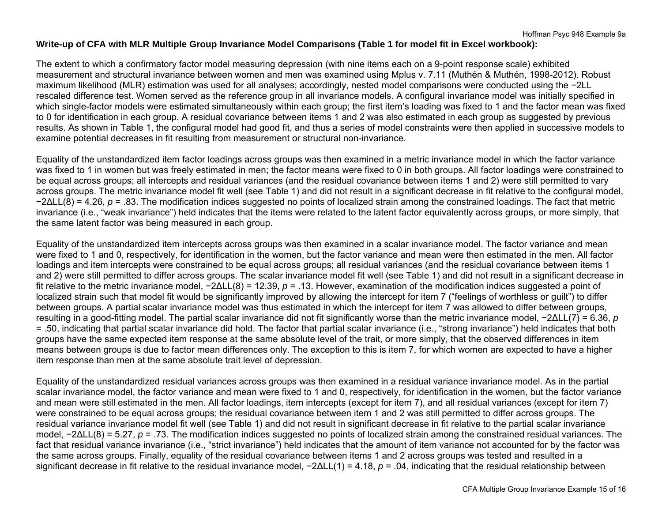## **Write-up of CFA with MLR Multiple Group Invariance Model Comparisons (Table 1 for model fit in Excel workbook):**

The extent to which a confirmatory factor model measuring depression (with nine items each on a 9-point response scale) exhibited measurement and structural invariance between women and men was examined using Mplus v. 7.11 (Muthén & Muthén, 1998-2012). Robust maximum likelihood (MLR) estimation was used for all analyses; accordingly, nested model comparisons were conducted using the −2LL rescaled difference test. Women served as the reference group in all invariance models. A configural invariance model was initially specified in which single-factor models were estimated simultaneously within each group; the first item's loading was fixed to 1 and the factor mean was fixed to 0 for identification in each group. A residual covariance between items 1 and 2 was also estimated in each group as suggested by previous results. As shown in Table 1, the configural model had good fit, and thus a series of model constraints were then applied in successive models to examine potential decreases in fit resulting from measurement or structural non-invariance.

Equality of the unstandardized item factor loadings across groups was then examined in a metric invariance model in which the factor variance was fixed to 1 in women but was freely estimated in men; the factor means were fixed to 0 in both groups. All factor loadings were constrained to be equal across groups; all intercepts and residual variances (and the residual covariance between items 1 and 2) were still permitted to vary across groups. The metric invariance model fit well (see Table 1) and did not result in a significant decrease in fit relative to the configural model, <sup>−</sup>2ΔLL(8) = 4.26, *p* = .83. The modification indices suggested no points of localized strain among the constrained loadings. The fact that metric invariance (i.e., "weak invariance") held indicates that the items were related to the latent factor equivalently across groups, or more simply, that the same latent factor was being measured in each group.

Equality of the unstandardized item intercepts across groups was then examined in a scalar invariance model. The factor variance and mean were fixed to 1 and 0, respectively, for identification in the women, but the factor variance and mean were then estimated in the men. All factor loadings and item intercepts were constrained to be equal across groups; all residual variances (and the residual covariance between items 1 and 2) were still permitted to differ across groups. The scalar invariance model fit well (see Table 1) and did not result in a significant decrease in fit relative to the metric invariance model, −2ΔLL(8) = 12.39, *p* = .13. However, examination of the modification indices suggested a point of localized strain such that model fit would be significantly improved by allowing the intercept for item 7 ("feelings of worthless or guilt") to differ between groups. A partial scalar invariance model was thus estimated in which the intercept for item 7 was allowed to differ between groups, resulting in a good-fitting model. The partial scalar invariance did not fit significantly worse than the metric invariance model, −2ΔLL(7) = 6.36, *p* = .50, indicating that partial scalar invariance did hold. The factor that partial scalar invariance (i.e., "strong invariance") held indicates that both groups have the same expected item response at the same absolute level of the trait, or more simply, that the observed differences in item means between groups is due to factor mean differences only. The exception to this is item 7, for which women are expected to have a higher item response than men at the same absolute trait level of depression.

Equality of the unstandardized residual variances across groups was then examined in a residual variance invariance model. As in the partial scalar invariance model, the factor variance and mean were fixed to 1 and 0, respectively, for identification in the women, but the factor variance and mean were still estimated in the men. All factor loadings, item intercepts (except for item 7), and all residual variances (except for item 7) were constrained to be equal across groups; the residual covariance between item 1 and 2 was still permitted to differ across groups. The residual variance invariance model fit well (see Table 1) and did not result in significant decrease in fit relative to the partial scalar invariance model, −2ΔLL(8) = 5.27, *p* = .73. The modification indices suggested no points of localized strain among the constrained residual variances. The fact that residual variance invariance (i.e., "strict invariance") held indicates that the amount of item variance not accounted for by the factor was the same across groups. Finally, equality of the residual covariance between items 1 and 2 across groups was tested and resulted in a significant decrease in fit relative to the residual invariance model, −2ΔLL(1) = 4.18, *p* = .04, indicating that the residual relationship between